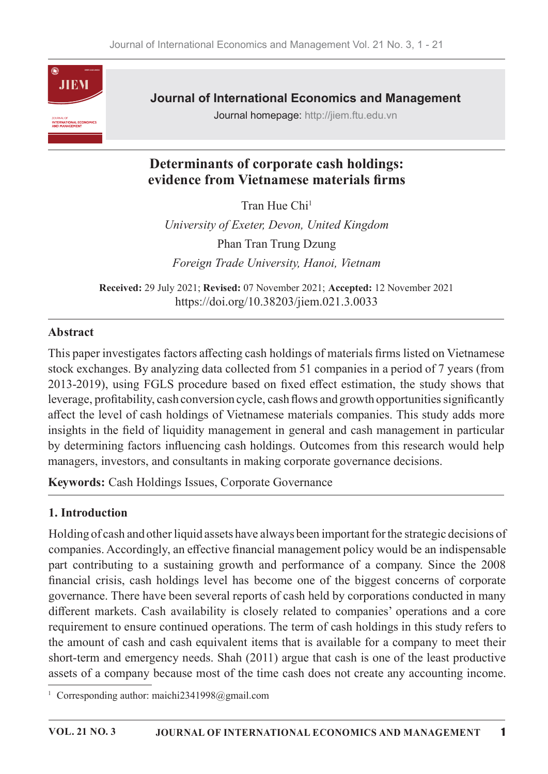

**Journal of International Economics and Management** 

Journal homepage: http://jiem.ftu.edu.vn

# Determinants of corporate cash holdings: evidence from Vietnamese materials firms

Tran Hue Chi<sup>1</sup>

University of Exeter, Devon, United Kingdom Phan Tran Trung Dzung Foreign Trade University, Hanoi, Vietnam

Received: 29 July 2021; Revised: 07 November 2021; Accepted: 12 November 2021 https://doi.org/10.38203/jiem.021.3.0033

#### Abstract

This paper investigates factors affecting cash holdings of materials firms listed on Vietnamese stock exchanges. By analyzing data collected from 51 companies in a period of 7 years (from 2013-2019), using FGLS procedure based on fixed effect estimation, the study shows that leverage, profitability, cash conversion cycle, cash flows and growth opportunities significantly affect the level of cash holdings of Vietnamese materials companies. This study adds more insights in the field of liquidity management in general and cash management in particular by determining factors influencing cash holdings. Outcomes from this research would help managers, investors, and consultants in making corporate governance decisions.

Keywords: Cash Holdings Issues, Corporate Governance

### 1. Introduction

Holding of cash and other liquid assets have always been important for the strategic decisions of companies. Accordingly, an effective financial management policy would be an indispensable part contributing to a sustaining growth and performance of a company. Since the 2008 nancial crisis, cash holdings level has become one of the biggest concerns of corporate governance. There have been several reports of cash held by corporations conducted in many different markets. Cash availability is closely related to companies' operations and a core requirement to ensure continued operations. The term of cash holdings in this study refers to the amount of cash and cash equivalent items that is available for a company to meet their short-term and emergency needs. Shah (2011) argue that cash is one of the least productive assets of a company because most of the time cash does not create any accounting income.

<sup>1</sup> Corresponding author: maichi2341998@gmail.com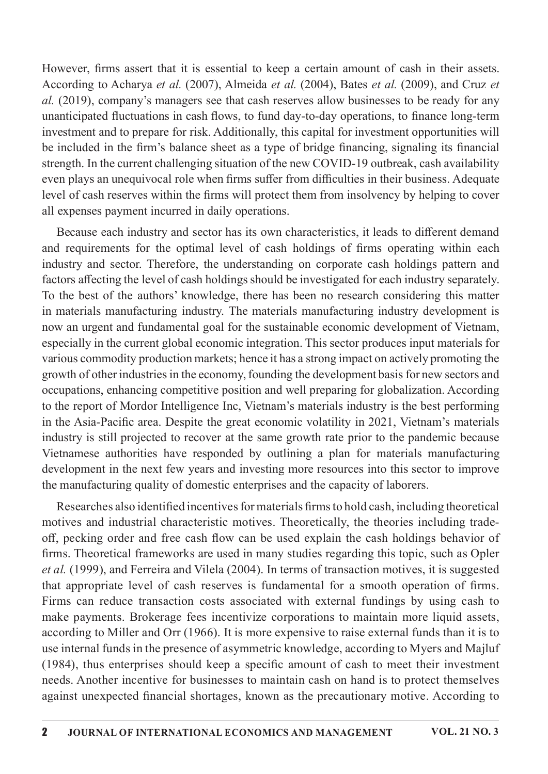However, firms assert that it is essential to keep a certain amount of cash in their assets. According to Acharya et al. (2007), Almeida et al. (2004), Bates et al. (2009), and Cruz et al. (2019), company's managers see that cash reserves allow businesses to be ready for any unanticipated fluctuations in cash flows, to fund day-to-day operations, to finance long-term investment and to prepare for risk. Additionally, this capital for investment opportunities will be included in the firm's balance sheet as a type of bridge financing, signaling its financial strength. In the current challenging situation of the new COVID-19 outbreak, cash availability even plays an unequivocal role when firms suffer from difficulties in their business. Adequate level of cash reserves within the firms will protect them from insolvency by helping to cover all expenses payment incurred in daily operations.

Because each industry and sector has its own characteristics, it leads to different demand and requirements for the optimal level of cash holdings of firms operating within each industry and sector. Therefore, the understanding on corporate cash holdings pattern and factors affecting the level of cash holdings should be investigated for each industry separately. To the best of the authors' knowledge, there has been no research considering this matter in materials manufacturing industry. The materials manufacturing industry development is now an urgent and fundamental goal for the sustainable economic development of Vietnam, especially in the current global economic integration. This sector produces input materials for various commodity production markets; hence it has a strong impact on actively promoting the growth of other industries in the economy, founding the development basis for new sectors and occupations, enhancing competitive position and well preparing for globalization. According to the report of Mordor Intelligence Inc, Vietnam's materials industry is the best performing in the Asia-Pacific area. Despite the great economic volatility in 2021, Vietnam's materials industry is still projected to recover at the same growth rate prior to the pandemic because Vietnamese authorities have responded by outlining a plan for materials manufacturing development in the next few years and investing more resources into this sector to improve the manufacturing quality of domestic enterprises and the capacity of laborers.

Researches also identified incentives for materials firms to hold cash, including theoretical motives and industrial characteristic motives. Theoretically, the theories including tradeoff, pecking order and free cash flow can be used explain the cash holdings behavior of firms. Theoretical frameworks are used in many studies regarding this topic, such as Opler et al. (1999), and Ferreira and Vilela (2004). In terms of transaction motives, it is suggested that appropriate level of cash reserves is fundamental for a smooth operation of firms. Firms can reduce transaction costs associated with external fundings by using cash to make payments. Brokerage fees incentivize corporations to maintain more liquid assets, according to Miller and Orr (1966). It is more expensive to raise external funds than it is to use internal funds in the presence of asymmetric knowledge, according to Myers and Majluf  $(1984)$ , thus enterprises should keep a specific amount of cash to meet their investment needs. Another incentive for businesses to maintain cash on hand is to protect themselves against unexpected financial shortages, known as the precautionary motive. According to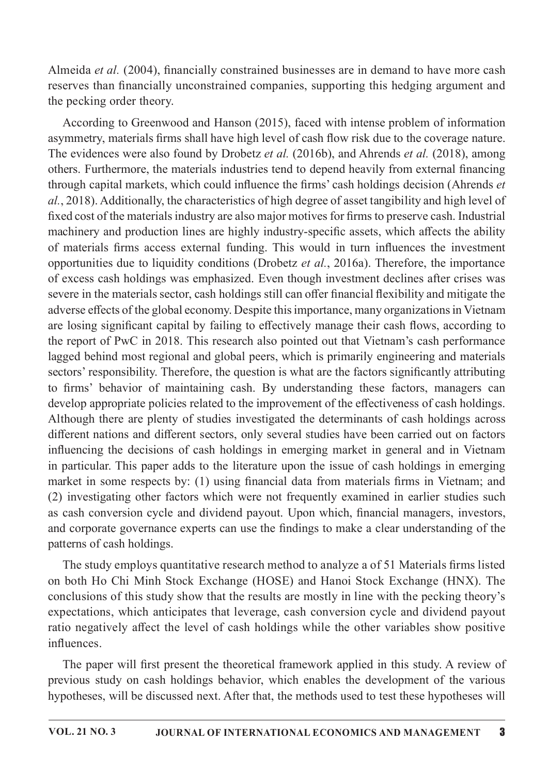Almeida et al. (2004), financially constrained businesses are in demand to have more cash reserves than financially unconstrained companies, supporting this hedging argument and the pecking order theory.

According to Greenwood and Hanson (2015), faced with intense problem of information asymmetry, materials firms shall have high level of cash flow risk due to the coverage nature. The evidences were also found by Drobetz et al. (2016b), and Ahrends et al. (2018), among others. Furthermore, the materials industries tend to depend heavily from external financing through capital markets, which could influence the firms' cash holdings decision (Ahrends et  $al., 2018$ ). Additionally, the characteristics of high degree of asset tangibility and high level of fixed cost of the materials industry are also major motives for firms to preserve cash. Industrial machinery and production lines are highly industry-specific assets, which affects the ability of materials firms access external funding. This would in turn influences the investment opportunities due to liquidity conditions (Drobetz et al., 2016a). Therefore, the importance of excess cash holdings was emphasized. Even though investment declines after crises was severe in the materials sector, cash holdings still can offer financial flexibility and mitigate the adverse effects of the global economy. Despite this importance, many organizations in Vietnam are losing significant capital by failing to effectively manage their cash flows, according to the report of PwC in 2018. This research also pointed out that Vietnam's cash performance lagged behind most regional and global peers, which is primarily engineering and materials sectors' responsibility. Therefore, the question is what are the factors significantly attributing to firms' behavior of maintaining cash. By understanding these factors, managers can develop appropriate policies related to the improvement of the effectiveness of cash holdings. Although there are plenty of studies investigated the determinants of cash holdings across different nations and different sectors, only several studies have been carried out on factors influencing the decisions of cash holdings in emerging market in general and in Vietnam in particular. This paper adds to the literature upon the issue of cash holdings in emerging market in some respects by:  $(1)$  using financial data from materials firms in Vietnam; and (2) investigating other factors which were not frequently examined in earlier studies such as cash conversion cycle and dividend payout. Upon which, financial managers, investors, and corporate governance experts can use the findings to make a clear understanding of the patterns of cash holdings.

The study employs quantitative research method to analyze a of 51 Materials firms listed on both Ho Chi Minh Stock Exchange (HOSE) and Hanoi Stock Exchange (HNX). The conclusions of this study show that the results are mostly in line with the pecking theory's expectations, which anticipates that leverage, cash conversion cycle and dividend payout ratio negatively affect the level of cash holdings while the other variables show positive influences.

The paper will first present the theoretical framework applied in this study. A review of previous study on cash holdings behavior, which enables the development of the various hypotheses, will be discussed next. After that, the methods used to test these hypotheses will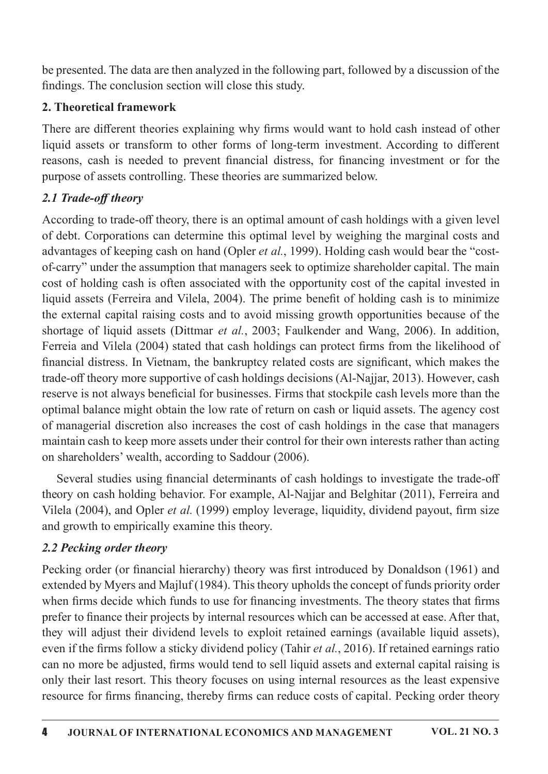be presented. The data are then analyzed in the following part, followed by a discussion of the findings. The conclusion section will close this study.

### 2. Theoretical framework

There are different theories explaining why firms would want to hold cash instead of other liquid assets or transform to other forms of long-term investment. According to different reasons, cash is needed to prevent financial distress, for financing investment or for the purpose of assets controlling. These theories are summarized below.

# 2.1 Trade-off theory

According to trade-off theory, there is an optimal amount of cash holdings with a given level of debt. Corporations can determine this optimal level by weighing the marginal costs and advantages of keeping cash on hand (Opler *et al.*, 1999). Holding cash would bear the "costof-carry" under the assumption that managers seek to optimize shareholder capital. The main cost of holding cash is often associated with the opportunity cost of the capital invested in liquid assets (Ferreira and Vilela, 2004). The prime benefit of holding cash is to minimize the external capital raising costs and to avoid missing growth opportunities because of the shortage of liquid assets (Dittmar et al., 2003; Faulkender and Wang, 2006). In addition, Ferreia and Vilela (2004) stated that cash holdings can protect firms from the likelihood of financial distress. In Vietnam, the bankruptcy related costs are significant, which makes the trade-off theory more supportive of cash holdings decisions (Al-Najjar, 2013). However, cash reserve is not always beneficial for businesses. Firms that stockpile cash levels more than the optimal balance might obtain the low rate of return on cash or liquid assets. The agency cost of managerial discretion also increases the cost of cash holdings in the case that managers maintain cash to keep more assets under their control for their own interests rather than acting on shareholders' wealth, according to Saddour (2006).

Several studies using financial determinants of cash holdings to investigate the trade-off theory on cash holding behavior. For example, Al-Najjar and Belghitar (2011), Ferreira and Vilela (2004), and Opler et al. (1999) employ leverage, liquidity, dividend payout, firm size and growth to empirically examine this theory.

# 2.2 Pecking order theory

Pecking order (or financial hierarchy) theory was first introduced by Donaldson (1961) and extended by Myers and Majluf (1984). This theory upholds the concept of funds priority order when firms decide which funds to use for financing investments. The theory states that firms prefer to finance their projects by internal resources which can be accessed at ease. After that, they will adjust their dividend levels to exploit retained earnings (available liquid assets), even if the firms follow a sticky dividend policy (Tahir et al., 2016). If retained earnings ratio can no more be adjusted, firms would tend to sell liquid assets and external capital raising is only their last resort. This theory focuses on using internal resources as the least expensive resource for firms financing, thereby firms can reduce costs of capital. Pecking order theory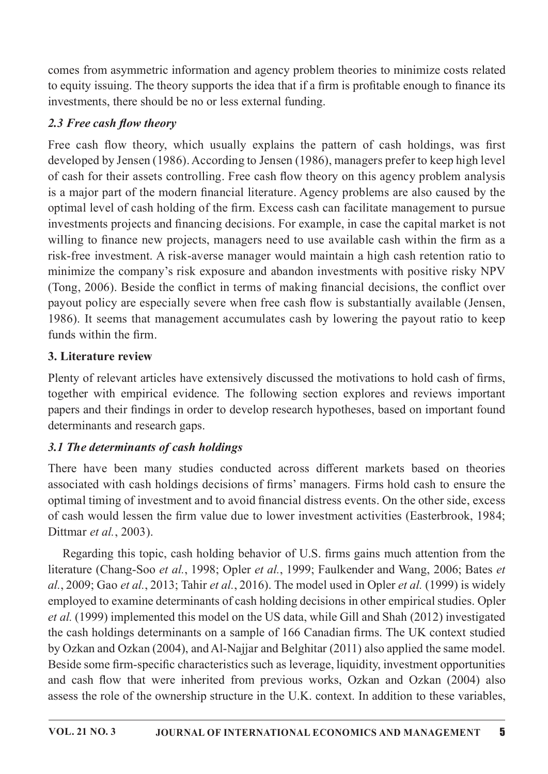comes from asymmetric information and agency problem theories to minimize costs related to equity issuing. The theory supports the idea that if a firm is profitable enough to finance its investments, there should be no or less external funding.

# 2.3 Free cash flow theory

Free cash flow theory, which usually explains the pattern of cash holdings, was first developed by Jensen (1986). According to Jensen (1986), managers prefer to keep high level of cash for their assets controlling. Free cash flow theory on this agency problem analysis is a major part of the modern financial literature. Agency problems are also caused by the optimal level of cash holding of the firm. Excess cash can facilitate management to pursue investments projects and financing decisions. For example, in case the capital market is not willing to finance new projects, managers need to use available cash within the firm as a risk-free investment. A risk-averse manager would maintain a high cash retention ratio to minimize the company's risk exposure and abandon investments with positive risky NPV (Tong,  $2006$ ). Beside the conflict in terms of making financial decisions, the conflict over payout policy are especially severe when free cash flow is substantially available (Jensen, 1986). It seems that management accumulates cash by lowering the payout ratio to keep funds within the firm.

# 3. Literature review

Plenty of relevant articles have extensively discussed the motivations to hold cash of firms, together with empirical evidence. The following section explores and reviews important papers and their findings in order to develop research hypotheses, based on important found determinants and research gaps.

# 3.1 The determinants of cash holdings

There have been many studies conducted across different markets based on theories associated with cash holdings decisions of firms' managers. Firms hold cash to ensure the optimal timing of investment and to avoid financial distress events. On the other side, excess of cash would lessen the firm value due to lower investment activities (Easterbrook, 1984; Dittmar et al., 2003).

Regarding this topic, cash holding behavior of U.S. firms gains much attention from the literature (Chang-Soo et al., 1998; Opler et al., 1999; Faulkender and Wang, 2006; Bates et al., 2009; Gao et al., 2013; Tahir et al., 2016). The model used in Opler et al. (1999) is widely employed to examine determinants of cash holding decisions in other empirical studies. Opler et al. (1999) implemented this model on the US data, while Gill and Shah (2012) investigated the cash holdings determinants on a sample of 166 Canadian firms. The UK context studied by Ozkan and Ozkan (2004), and Al-Najjar and Belghitar (2011) also applied the same model. Beside some firm-specific characteristics such as leverage, liquidity, investment opportunities and cash flow that were inherited from previous works, Ozkan and Ozkan (2004) also assess the role of the ownership structure in the U.K. context. In addition to these variables,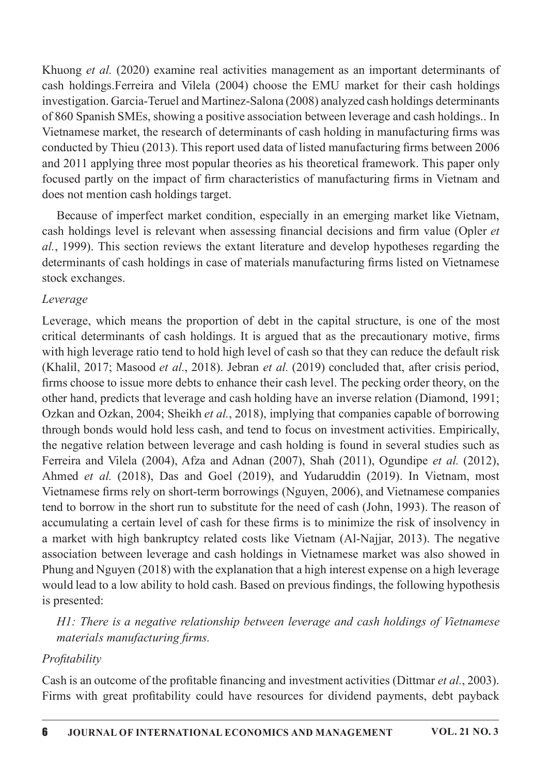Khuong et al. (2020) examine real activities management as an important determinants of cash holdings. Ferreira and Vilela (2004) choose the EMU market for their cash holdings investigation. Garcia-Teruel and Martinez-Salona (2008) analyzed cash holdings determinants of 860 Spanish SMEs, showing a positive association between leverage and cash holdings.. In Vietnamese market, the research of determinants of cash holding in manufacturing firms was conducted by Thieu (2013). This report used data of listed manufacturing firms between  $2006$ and 2011 applying three most popular theories as his theoretical framework. This paper only focused partly on the impact of firm characteristics of manufacturing firms in Vietnam and does not mention cash holdings target.

Because of imperfect market condition, especially in an emerging market like Vietnam, cash holdings level is relevant when assessing financial decisions and firm value (Opler et al., 1999). This section reviews the extant literature and develop hypotheses regarding the determinants of cash holdings in case of materials manufacturing firms listed on Vietnamese stock exchanges.

#### Leverage

Leverage, which means the proportion of debt in the capital structure, is one of the most critical determinants of cash holdings. It is argued that as the precautionary motive, firms with high leverage ratio tend to hold high level of cash so that they can reduce the default risk (Khalil, 2017; Masood *et al.*, 2018). Jebran *et al.* (2019) concluded that, after crisis period, firms choose to issue more debts to enhance their cash level. The pecking order theory, on the other hand, predicts that leverage and cash holding have an inverse relation (Diamond, 1991; Ozkan and Ozkan, 2004; Sheikh et al., 2018), implying that companies capable of borrowing through bonds would hold less cash, and tend to focus on investment activities. Empirically, the negative relation between leverage and cash holding is found in several studies such as Ferreira and Vilela (2004), Afza and Adnan (2007), Shah (2011), Ogundipe et al. (2012), Ahmed et al. (2018), Das and Goel (2019), and Yudaruddin (2019). In Vietnam, most Vietnamese firms rely on short-term borrowings (Nguyen, 2006), and Vietnamese companies tend to borrow in the short run to substitute for the need of cash (John, 1993). The reason of accumulating a certain level of cash for these firms is to minimize the risk of insolvency in a market with high bankruptcy related costs like Vietnam (Al-Najjar, 2013). The negative association between leverage and cash holdings in Vietnamese market was also showed in Phung and Nguyen (2018) with the explanation that a high interest expense on a high leverage would lead to a low ability to hold cash. Based on previous findings, the following hypothesis is presented:

HI: There is a negative relationship between leverage and cash holdings of Vietnamese materials manufacturing firms.

#### Profitability

Cash is an outcome of the profitable financing and investment activities (Dittmar et al., 2003). Firms with great profitability could have resources for dividend payments, debt payback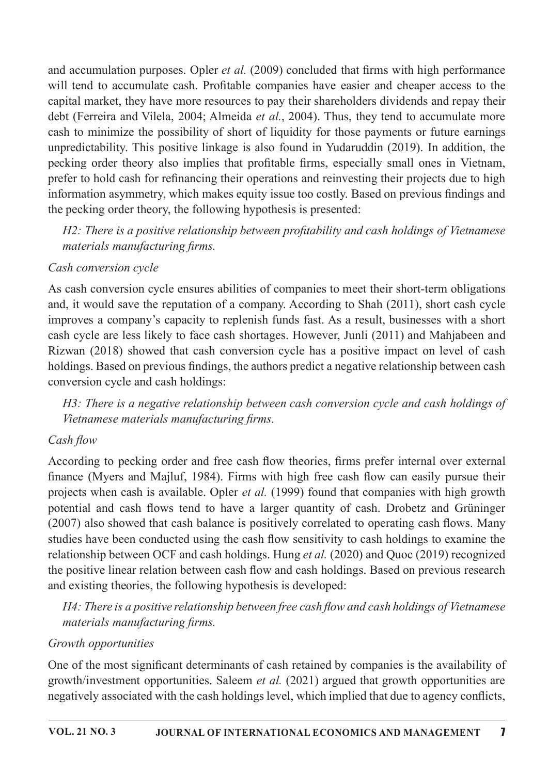and accumulation purposes. Opler et al. (2009) concluded that firms with high performance will tend to accumulate cash. Profitable companies have easier and cheaper access to the capital market, they have more resources to pay their shareholders dividends and repay their debt (Ferreira and Vilela, 2004; Almeida et al., 2004). Thus, they tend to accumulate more cash to minimize the possibility of short of liquidity for those payments or future earnings unpredictability. This positive linkage is also found in Yudaruddin (2019). In addition, the pecking order theory also implies that profitable firms, especially small ones in Vietnam, prefer to hold cash for refinancing their operations and reinvesting their projects due to high information asymmetry, which makes equity issue too costly. Based on previous findings and the pecking order theory, the following hypothesis is presented:

H2: There is a positive relationship between profitability and cash holdings of Vietnamese materials manufacturing firms.

## Cash conversion cycle

As cash conversion cycle ensures abilities of companies to meet their short-term obligations and, it would save the reputation of a company. According to Shah (2011), short cash cycle improves a company's capacity to replenish funds fast. As a result, businesses with a short cash cycle are less likely to face cash shortages. However, Junli (2011) and Mahjabeen and Rizwan (2018) showed that cash conversion cycle has a positive impact on level of cash holdings. Based on previous findings, the authors predict a negative relationship between cash conversion cycle and cash holdings:

H3: There is a negative relationship between cash conversion cycle and cash holdings of Vietnamese materials manufacturing firms.

# Cash flow

According to pecking order and free cash flow theories, firms prefer internal over external finance (Myers and Majluf, 1984). Firms with high free cash flow can easily pursue their projects when cash is available. Opler *et al.* (1999) found that companies with high growth potential and cash flows tend to have a larger quantity of cash. Drobetz and Grüninger  $(2007)$  also showed that cash balance is positively correlated to operating cash flows. Many studies have been conducted using the cash flow sensitivity to cash holdings to examine the relationship between OCF and cash holdings. Hung et al.  $(2020)$  and Quoc  $(2019)$  recognized the positive linear relation between cash flow and cash holdings. Based on previous research and existing theories, the following hypothesis is developed:

H4: There is a positive relationship between free cash flow and cash holdings of Vietnamese materials manufacturing firms.

# Growth opportunities

One of the most significant determinants of cash retained by companies is the availability of growth/investment opportunities. Saleem *et al.* (2021) argued that growth opportunities are negatively associated with the cash holdings level, which implied that due to agency conflicts,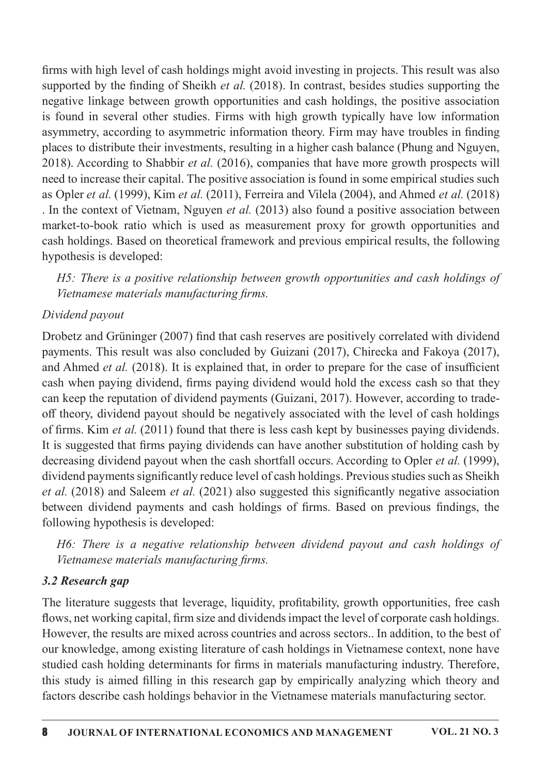firms with high level of cash holdings might avoid investing in projects. This result was also supported by the finding of Sheikh *et al.* (2018). In contrast, besides studies supporting the negative linkage between growth opportunities and cash holdings, the positive association is found in several other studies. Firms with high growth typically have low information asymmetry, according to asymmetric information theory. Firm may have troubles in finding places to distribute their investments, resulting in a higher cash balance (Phung and Nguyen, 2018). According to Shabbir et al. (2016), companies that have more growth prospects will need to increase their capital. The positive association is found in some empirical studies such as Opler et al. (1999), Kim et al. (2011), Ferreira and Vilela (2004), and Ahmed et al. (2018) . In the context of Vietnam, Nguyen *et al.* (2013) also found a positive association between market-to-book ratio which is used as measurement proxy for growth opportunities and cash holdings. Based on theoretical framework and previous empirical results, the following hypothesis is developed:

H5: There is a positive relationship between growth opportunities and cash holdings of Vietnamese materials manufacturing firms.

## Dividend payout

Drobetz and Grüninger (2007) find that cash reserves are positively correlated with dividend payments. This result was also concluded by Guizani (2017), Chirecka and Fakoya (2017), and Ahmed *et al.* (2018). It is explained that, in order to prepare for the case of insufficient cash when paying dividend, firms paying dividend would hold the excess cash so that they can keep the reputation of dividend payments (Guizani, 2017). However, according to tradeoff theory, dividend payout should be negatively associated with the level of cash holdings of firms. Kim *et al.* (2011) found that there is less cash kept by businesses paying dividends. It is suggested that firms paying dividends can have another substitution of holding cash by decreasing dividend payout when the cash shortfall occurs. According to Opler et al. (1999), dividend payments significantly reduce level of cash holdings. Previous studies such as Sheikh et al.  $(2018)$  and Saleem et al.  $(2021)$  also suggested this significantly negative association between dividend payments and cash holdings of firms. Based on previous findings, the following hypothesis is developed:

H6: There is a negative relationship between dividend payout and cash holdings of Vietnamese materials manufacturing firms.

## 3.2 Research gap

The literature suggests that leverage, liquidity, profitability, growth opportunities, free cash flows, net working capital, firm size and dividends impact the level of corporate cash holdings. However, the results are mixed across countries and across sectors.. In addition, to the best of our knowledge, among existing literature of cash holdings in Vietnamese context, none have studied cash holding determinants for firms in materials manufacturing industry. Therefore, this study is aimed filling in this research gap by empirically analyzing which theory and factors describe cash holdings behavior in the Vietnamese materials manufacturing sector.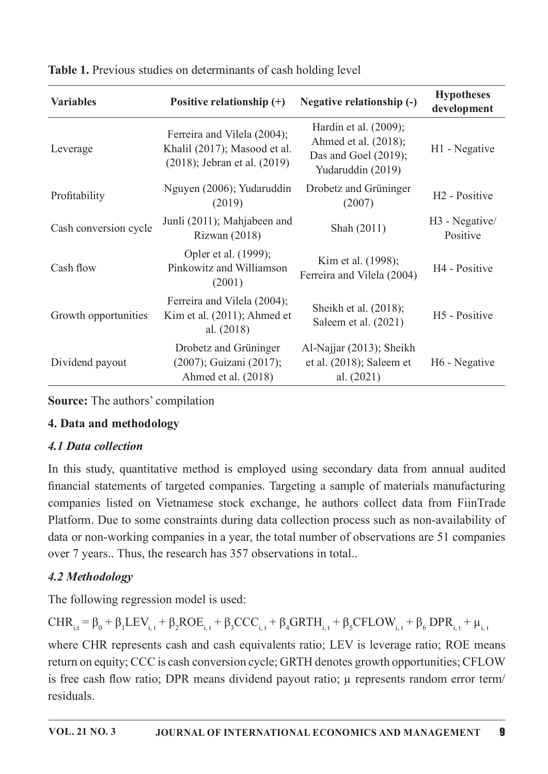| <b>Variables</b>      | Positive relationship $(+)$                                                                 | Negative relationship (-)                                                                     | <b>Hypotheses</b><br>development      |
|-----------------------|---------------------------------------------------------------------------------------------|-----------------------------------------------------------------------------------------------|---------------------------------------|
| Leverage              | Ferreira and Vilela (2004);<br>Khalil (2017); Masood et al.<br>(2018); Jebran et al. (2019) | Hardin et al. $(2009)$ ;<br>Ahmed et al. (2018);<br>Das and Goel (2019);<br>Yudaruddin (2019) | H <sub>1</sub> - Negative             |
| Profitability         | Nguyen (2006); Yudaruddin<br>(2019)                                                         | Drobetz and Grüninger<br>(2007)                                                               | H <sub>2</sub> - Positive             |
| Cash conversion cycle | Junli (2011); Mahjabeen and<br>Rizwan $(2018)$                                              | Shah (2011)                                                                                   | H <sub>3</sub> - Negative<br>Positive |
| Cash flow             | Opler et al. (1999);<br>Pinkowitz and Williamson<br>(2001)                                  | Kim et al. (1998);<br>Ferreira and Vilela (2004)                                              | H <sub>4</sub> - Positive             |
| Growth opportunities  | Ferreira and Vilela (2004);<br>Kim et al. $(2011)$ ; Ahmed et<br>al. (2018)                 | Sheikh et al. $(2018)$ ;<br>Saleem et al. (2021)                                              | H <sub>5</sub> - Positive             |
| Dividend payout       | Drobetz and Grüninger<br>(2007); Guizani (2017);<br>Ahmed et al. (2018)                     | Al-Najjar (2013); Sheikh<br>et al. $(2018)$ ; Saleem et<br>al. $(2021)$                       | H6 - Negative                         |

Table 1. Previous studies on determinants of cash holding level

Source: The authors' compilation

### 4. Data and methodology

## 4.1 Data collection

In this study, quantitative method is employed using secondary data from annual audited financial statements of targeted companies. Targeting a sample of materials manufacturing companies listed on Vietnamese stock exchange, he authors collect data from FiinTrade Platform. Due to some constraints during data collection process such as non-availability of data or non-working companies in a year, the total number of observations are 51 companies over 7 years.. Thus, the research has 357 observations in total..

# 4.2Methodology

The following regression model is used:

 $\text{CHR}_{i,t} = \beta_0 + \beta_1 \text{LEV}_{i,t} + \beta_2 \text{ROE}_{i,t} + \beta_3 \text{CCC}_{i,t} + \beta_4 \text{GRTH}_{i,t} + \beta_5 \text{CFLOW}_{i,t} + \beta_6 \text{DPR}_{i,t} + \mu_{i,t}$ 

where CHR represents cash and cash equivalents ratio; LEV is leverage ratio; ROE means return on equity; CCC is cash conversion cycle; GRTH denotes growth opportunities; CFLOW is free cash flow ratio; DPR means dividend payout ratio;  $\mu$  represents random error term/ residuals.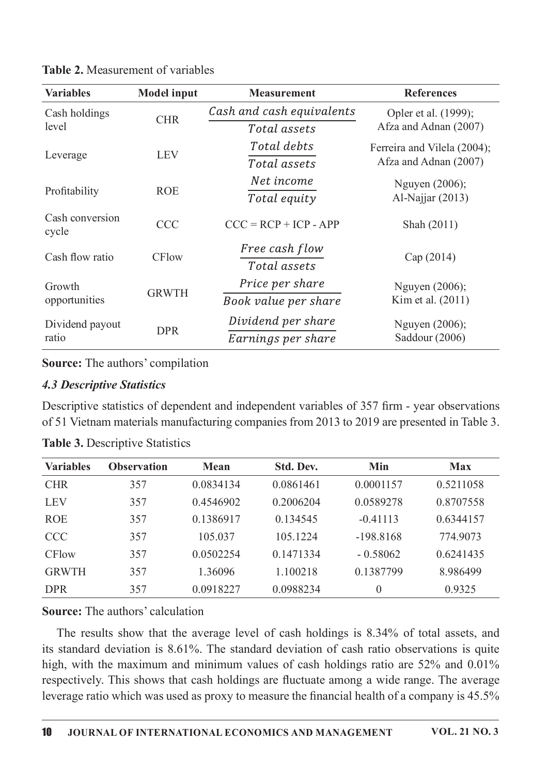| <b>Variables</b>         | <b>Model input</b> | <b>Measurement</b>                       | <b>References</b>                                    |  |
|--------------------------|--------------------|------------------------------------------|------------------------------------------------------|--|
| Cash holdings            | <b>CHR</b>         | Cash and cash equivalents                | Opler et al. (1999);                                 |  |
| level                    |                    | Total assets                             | Afza and Adnan (2007)                                |  |
|                          |                    | Total debts                              | Ferreira and Vilela (2004);<br>Afza and Adnan (2007) |  |
| Leverage                 | <b>LEV</b>         | Total assets                             |                                                      |  |
|                          |                    | Net income                               | Nguyen (2006);                                       |  |
| Profitability            | <b>ROE</b>         | Total equity                             | Al-Najjar (2013)                                     |  |
| Cash conversion<br>cycle | <b>CCC</b>         | $CCC = RCP + ICP - APP$                  | Shah (2011)                                          |  |
| Cash flow ratio          | <b>CFlow</b>       | Free cash flow<br>Total assets           | Cap (2014)                                           |  |
| Growth                   |                    | Price per share                          | Nguyen (2006);                                       |  |
| opportunities            | <b>GRWTH</b>       | Book value per share                     | Kim et al. (2011)                                    |  |
| Dividend payout<br>ratio | <b>DPR</b>         | Dividend per share<br>Earnings per share | Nguyen (2006);<br>Saddour (2006)                     |  |

Table 2. Measurement of variables

**Source:** The authors' compilation

#### **4.3 Descriptive Statistics**

Descriptive statistics of dependent and independent variables of 357 firm - year observations of 51 Vietnam materials manufacturing companies from 2013 to 2019 are presented in Table 3.

| <b>Variables</b> | <b>Observation</b> | <b>Mean</b> | Std. Dev. | Min         | <b>Max</b> |
|------------------|--------------------|-------------|-----------|-------------|------------|
| <b>CHR</b>       | 357                | 0.0834134   | 0.0861461 | 0.0001157   | 0.5211058  |
| <b>LEV</b>       | 357                | 0.4546902   | 0.2006204 | 0.0589278   | 0.8707558  |
| <b>ROE</b>       | 357                | 0.1386917   | 0.134545  | $-0.41113$  | 0.6344157  |
| <b>CCC</b>       | 357                | 105.037     | 105.1224  | $-198.8168$ | 774.9073   |
| <b>CFlow</b>     | 357                | 0.0502254   | 0.1471334 | $-0.58062$  | 0.6241435  |
| <b>GRWTH</b>     | 357                | 1.36096     | 1.100218  | 0.1387799   | 8.986499   |
| <b>DPR</b>       | 357                | 0.0918227   | 0.0988234 | $\theta$    | 0.9325     |

Table 3. Descriptive Statistics

### **Source:** The authors' calculation

The results show that the average level of cash holdings is 8.34% of total assets, and its standard deviation is 8.61%. The standard deviation of cash ratio observations is quite high, with the maximum and minimum values of cash holdings ratio are 52% and 0.01% respectively. This shows that cash holdings are fluctuate among a wide range. The average leverage ratio which was used as proxy to measure the financial health of a company is 45.5%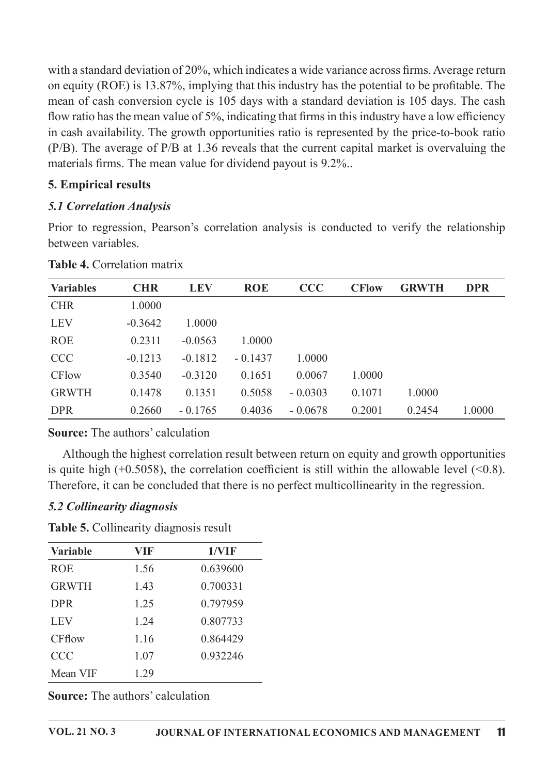with a standard deviation of 20%, which indicates a wide variance across firms. Average return on equity (ROE) is 13.87%, implying that this industry has the potential to be profitable. The mean of cash conversion cycle is 105 days with a standard deviation is 105 days. The cash flow ratio has the mean value of 5%, indicating that firms in this industry have a low efficiency in cash availability. The growth opportunities ratio is represented by the price-to-book ratio (P/B). The average of P/B at 1.36 reveals that the current capital market is overvaluing the materials firms. The mean value for dividend payout is 9.2%..

### **5. Empirical results**

### **5.1 Correlation Analysis**

Prior to regression, Pearson's correlation analysis is conducted to verify the relationship between variables.

| <b>Variables</b> | <b>CHR</b> | <b>LEV</b> | <b>ROE</b> | <b>CCC</b> | <b>CFlow</b> | <b>GRWTH</b> | <b>DPR</b> |
|------------------|------------|------------|------------|------------|--------------|--------------|------------|
| <b>CHR</b>       | 1.0000     |            |            |            |              |              |            |
| <b>LEV</b>       | $-0.3642$  | 1.0000     |            |            |              |              |            |
| <b>ROE</b>       | 0.2311     | $-0.0563$  | 1.0000     |            |              |              |            |
| <b>CCC</b>       | $-0.1213$  | $-0.1812$  | $-0.1437$  | 1.0000     |              |              |            |
| <b>CFlow</b>     | 0.3540     | $-0.3120$  | 0.1651     | 0.0067     | 1.0000       |              |            |
| <b>GRWTH</b>     | 0.1478     | 0.1351     | 0.5058     | $-0.0303$  | 0.1071       | 1.0000       |            |
| <b>DPR</b>       | 0.2660     | $-0.1765$  | 0.4036     | $-0.0678$  | 0.2001       | 0.2454       | 1.0000     |

#### Table 4. Correlation matrix

### **Source:** The authors' calculation

Although the highest correlation result between return on equity and growth opportunities is quite high  $(+0.5058)$ , the correlation coefficient is still within the allowable level  $(<0.8)$ . Therefore, it can be concluded that there is no perfect multicollinearity in the regression.

## 5.2 Collinearity diagnosis

**Table 5.** Collinearity diagnosis result

| <b>Variable</b> | VIF  | 1/VIF    |
|-----------------|------|----------|
| <b>ROE</b>      | 1.56 | 0.639600 |
| <b>GRWTH</b>    | 1.43 | 0.700331 |
| <b>DPR</b>      | 1.25 | 0.797959 |
| <b>LEV</b>      | 1.24 | 0.807733 |
| CFflow          | 1.16 | 0.864429 |
| <b>CCC</b>      | 1.07 | 0.932246 |
| Mean VIF        | 1.29 |          |

**Source:** The authors' calculation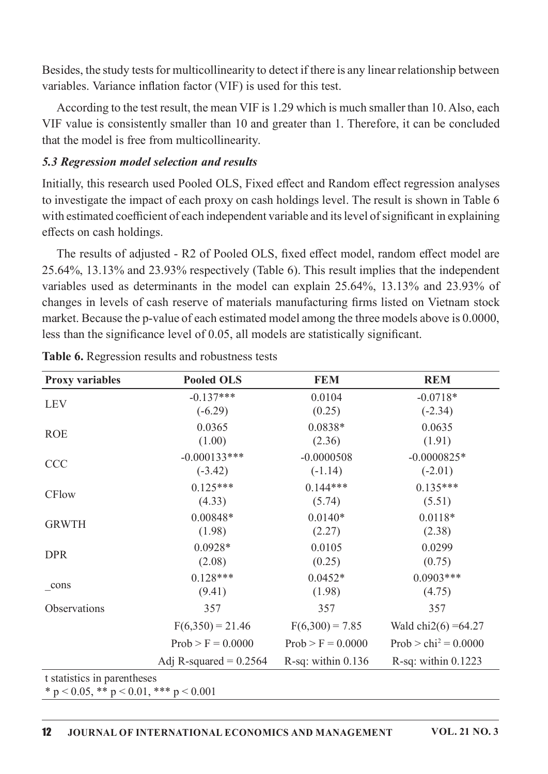Besides, the study tests for multicollinearity to detect if there is any linear relationship between variables. Variance inflation factor (VIF) is used for this test.

According to the test result, the mean VIF is 1.29 which is much smaller than 10. Also, each VIF value is consistently smaller than 10 and greater than 1. Therefore, it can be concluded that the model is free from multicollinearity.

#### 5.3 Regression model selection and results

Initially, this research used Pooled OLS, Fixed effect and Random effect regression analyses to investigate the impact of each proxy on cash holdings level. The result is shown in Table 6 with estimated coefficient of each independent variable and its level of significant in explaining effects on cash holdings.

The results of adjusted - R2 of Pooled OLS, fixed effect model, random effect model are 25.64%, 13.13% and 23.93% respectively (Table 6). This result implies that the independent variables used as determinants in the model can explain 25.64%, 13.13% and 23.93% of changes in levels of cash reserve of materials manufacturing firms listed on Vietnam stock market. Because the p-value of each estimated model among the three models above is 0.0000, less than the significance level of 0.05, all models are statistically significant.

| <b>Proxy variables</b>                                                        | <b>Pooled OLS</b>        | <b>FEM</b>           | <b>REM</b>                         |  |  |
|-------------------------------------------------------------------------------|--------------------------|----------------------|------------------------------------|--|--|
|                                                                               | $-0.137***$              | 0.0104               | $-0.0718*$                         |  |  |
| <b>LEV</b>                                                                    | $(-6.29)$                | (0.25)               | $(-2.34)$                          |  |  |
| <b>ROE</b>                                                                    | 0.0365                   | $0.0838*$            | 0.0635                             |  |  |
|                                                                               | (1.00)                   | (2.36)               | (1.91)                             |  |  |
| <b>CCC</b>                                                                    | $-0.000133***$           | $-0.0000508$         | $-0.0000825*$                      |  |  |
|                                                                               | $(-3.42)$                | $(-1.14)$            | $(-2.01)$                          |  |  |
| <b>CFlow</b>                                                                  | $0.125***$               | $0.144***$           | $0.135***$                         |  |  |
|                                                                               | (4.33)                   | (5.74)               | (5.51)                             |  |  |
| <b>GRWTH</b>                                                                  | $0.00848*$               | $0.0140*$            | $0.0118*$                          |  |  |
|                                                                               | (1.98)                   | (2.27)               | (2.38)                             |  |  |
| <b>DPR</b>                                                                    | $0.0928*$                | 0.0105               | 0.0299                             |  |  |
|                                                                               | (2.08)                   | (0.25)               | (0.75)                             |  |  |
|                                                                               | $0.128***$               | $0.0452*$            | $0.0903***$                        |  |  |
| cons                                                                          | (9.41)                   | (1.98)               | (4.75)                             |  |  |
| Observations                                                                  | 357                      | 357                  | 357                                |  |  |
|                                                                               | $F(6,350) = 21.46$       | $F(6,300) = 7.85$    | Wald chi $2(6) = 64.27$            |  |  |
|                                                                               | $Prob > F = 0.0000$      | $Prob > F = 0.0000$  | Prob > chi <sup>2</sup> = $0.0000$ |  |  |
|                                                                               | Adj R-squared = $0.2564$ | R-sq: within $0.136$ | R-sq: within $0.1223$              |  |  |
| t statistics in parentheses<br>* $p < 0.05$ , ** $p < 0.01$ , *** $p < 0.001$ |                          |                      |                                    |  |  |

Table 6. Regression results and robustness tests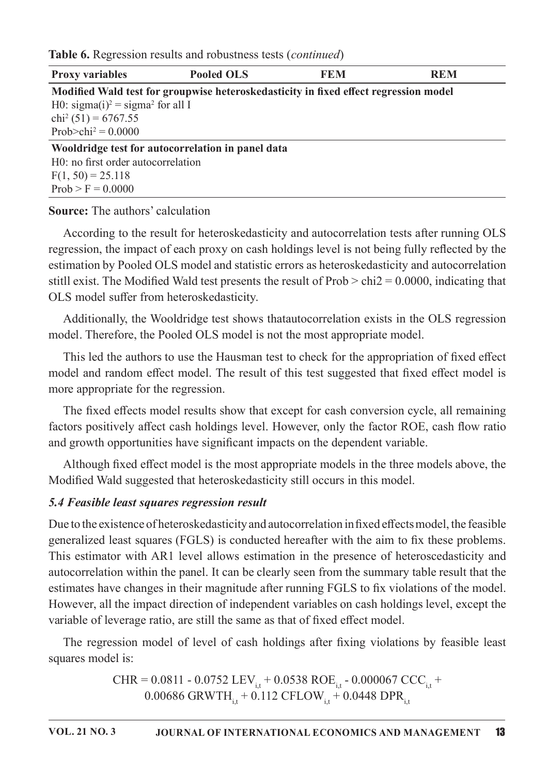Table 6. Regression results and robustness tests (continued)

| <b>Proxy variables</b>                                   | <b>Pooled OLS</b>                                                                    | FEM | <b>REM</b> |
|----------------------------------------------------------|--------------------------------------------------------------------------------------|-----|------------|
|                                                          | Modified Wald test for groupwise heteroskedasticity in fixed effect regression model |     |            |
| H0: sigma(i) <sup>2</sup> = sigma <sup>2</sup> for all I |                                                                                      |     |            |
| chi <sup>2</sup> (51) = 6767.55                          |                                                                                      |     |            |
| Prob>chi <sup>2</sup> = $0.0000$                         |                                                                                      |     |            |
|                                                          | Wooldridge test for autocorrelation in panel data                                    |     |            |
| H0: no first order autocorrelation                       |                                                                                      |     |            |
| $F(1, 50) = 25.118$                                      |                                                                                      |     |            |

**Source:** The authors' calculation

 $Prob > F = 0.0000$ 

According to the result for heteroskedasticity and autocorrelation tests after running OLS regression, the impact of each proxy on cash holdings level is not being fully reflected by the estimation by Pooled OLS model and statistic errors as heteroskedasticity and autocorrelation stitll exist. The Modified Wald test presents the result of  $Prob > chi2 = 0.0000$ , indicating that OLS model suffer from heteroskedasticity.

Additionally, the Wooldridge test shows that autocorrelation exists in the OLS regression model. Therefore, the Pooled OLS model is not the most appropriate model.

This led the authors to use the Hausman test to check for the appropriation of fixed effect model and random effect model. The result of this test suggested that fixed effect model is more appropriate for the regression.

The fixed effects model results show that except for cash conversion cycle, all remaining factors positively affect cash holdings level. However, only the factor ROE, cash flow ratio and growth opportunities have significant impacts on the dependent variable.

Although fixed effect model is the most appropriate models in the three models above, the Modified Wald suggested that heteroskedasticity still occurs in this model.

### 5.4 Feasible least squares regression result

Due to the existence of heteroskedasticity and autocorrelation in fixed effects model, the feasible generalized least squares (FGLS) is conducted hereafter with the aim to fix these problems. This estimator with AR1 level allows estimation in the presence of heteroscedasticity and autocorrelation within the panel. It can be clearly seen from the summary table result that the estimates have changes in their magnitude after running FGLS to fix violations of the model. However, all the impact direction of independent variables on cash holdings level, except the variable of leverage ratio, are still the same as that of fixed effect model.

The regression model of level of cash holdings after fixing violations by feasible least squares model is:

> CHR = 0.0811 - 0.0752 LEV<sub>it</sub> + 0.0538 ROE<sub>it</sub> - 0.000067 CCC<sub>it</sub> + 0.00686 GRWTH<sub>it</sub> + 0.112 CFLOW<sub>it</sub> + 0.0448 DPR<sub>it</sub>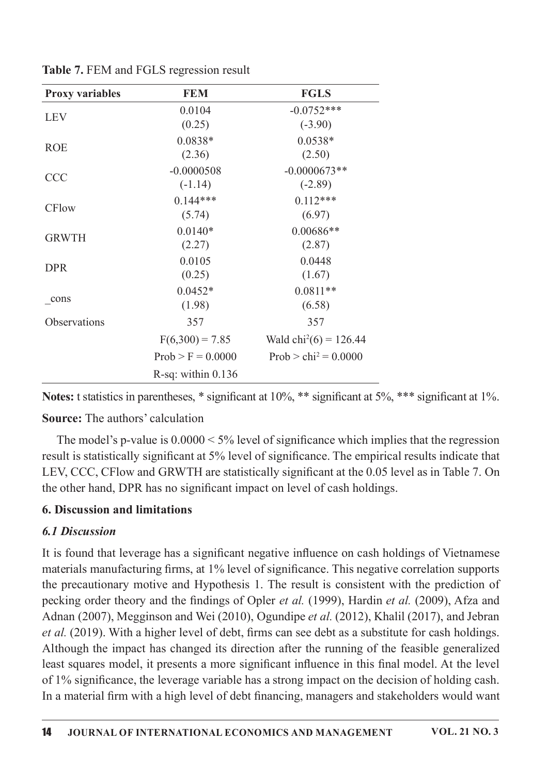| <b>Proxy variables</b> | <b>FEM</b>            | <b>FGLS</b>                        |  |
|------------------------|-----------------------|------------------------------------|--|
|                        | 0.0104                | $-0.0752***$                       |  |
| <b>LEV</b>             | (0.25)                | $(-3.90)$                          |  |
| <b>ROE</b>             | $0.0838*$             | $0.0538*$                          |  |
|                        | (2.36)                | (2.50)                             |  |
| <b>CCC</b>             | $-0.0000508$          | $-0.0000673**$                     |  |
|                        | $(-1.14)$             | $(-2.89)$                          |  |
| <b>CFlow</b>           | $0.144***$            | $0.112***$                         |  |
|                        | (5.74)                | (6.97)                             |  |
| <b>GRWTH</b>           | $0.0140*$             | $0.00686**$                        |  |
|                        | (2.27)                | (2.87)                             |  |
| <b>DPR</b>             | 0.0105                | 0.0448                             |  |
|                        | (0.25)                | (1.67)                             |  |
|                        | $0.0452*$             | $0.0811**$                         |  |
| cons                   | (1.98)                | (6.58)                             |  |
| Observations           | 357                   | 357                                |  |
|                        | $F(6,300) = 7.85$     | Wald $\text{chi}^2(6) = 126.44$    |  |
|                        | $Prob > F = 0.0000$   | Prob > chi <sup>2</sup> = $0.0000$ |  |
|                        | $R$ -sq: within 0.136 |                                    |  |

Table 7. FEM and FGLS regression result

Notes: t statistics in parentheses, \* significant at 10%, \*\* significant at 5%, \*\*\* significant at 1%.

**Source:** The authors' calculation

The model's p-value is  $0.0000 \le 5\%$  level of significance which implies that the regression result is statistically significant at 5% level of significance. The empirical results indicate that LEV, CCC, CFlow and GRWTH are statistically significant at the 0.05 level as in Table 7. On the other hand, DPR has no significant impact on level of cash holdings.

## **6. Discussion and limitations**

## **6.1 Discussion**

It is found that leverage has a significant negative influence on cash holdings of Vietnamese materials manufacturing firms, at 1% level of significance. This negative correlation supports the precautionary motive and Hypothesis 1. The result is consistent with the prediction of pecking order theory and the findings of Opler et al. (1999), Hardin et al. (2009), Afza and Adnan (2007), Megginson and Wei (2010), Ogundipe et al. (2012), Khalil (2017), and Jebran et al. (2019). With a higher level of debt, firms can see debt as a substitute for cash holdings. Although the impact has changed its direction after the running of the feasible generalized least squares model, it presents a more significant influence in this final model. At the level of 1% significance, the leverage variable has a strong impact on the decision of holding cash. In a material firm with a high level of debt financing, managers and stakeholders would want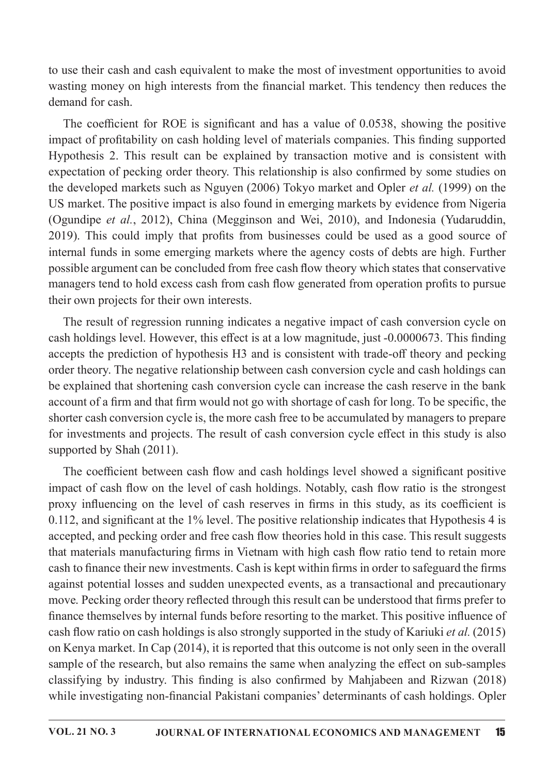to use their cash and cash equivalent to make the most of investment opportunities to avoid wasting money on high interests from the financial market. This tendency then reduces the demand for cash.

The coefficient for ROE is significant and has a value of 0.0538, showing the positive impact of profitability on cash holding level of materials companies. This finding supported Hypothesis 2. This result can be explained by transaction motive and is consistent with expectation of pecking order theory. This relationship is also confirmed by some studies on the developed markets such as Nguyen (2006) Tokyo market and Opler *et al.* (1999) on the US market. The positive impact is also found in emerging markets by evidence from Nigeria (Ogundipe et al., 2012), China (Megginson and Wei, 2010), and Indonesia (Yudaruddin, 2019). This could imply that profits from businesses could be used as a good source of internal funds in some emerging markets where the agency costs of debts are high. Further possible argument can be concluded from free cash flow theory which states that conservative managers tend to hold excess cash from cash flow generated from operation profits to pursue their own projects for their own interests.

The result of regression running indicates a negative impact of cash conversion cycle on cash holdings level. However, this effect is at a low magnitude, just -0.0000673. This finding accepts the prediction of hypothesis H3 and is consistent with trade-off theory and pecking order theory. The negative relationship between cash conversion cycle and cash holdings can be explained that shortening cash conversion cycle can increase the cash reserve in the bank account of a firm and that firm would not go with shortage of cash for long. To be specific, the shorter cash conversion cycle is, the more cash free to be accumulated by managers to prepare for investments and projects. The result of cash conversion cycle effect in this study is also supported by Shah (2011).

The coefficient between cash flow and cash holdings level showed a significant positive impact of cash flow on the level of cash holdings. Notably, cash flow ratio is the strongest proxy influencing on the level of cash reserves in firms in this study, as its coefficient is 0.112, and significant at the  $1\%$  level. The positive relationship indicates that Hypothesis 4 is accepted, and pecking order and free cash flow theories hold in this case. This result suggests that materials manufacturing firms in Vietnam with high cash flow ratio tend to retain more cash to finance their new investments. Cash is kept within firms in order to safeguard the firms against potential losses and sudden unexpected events, as a transactional and precautionary move. Pecking order theory reflected through this result can be understood that firms prefer to finance themselves by internal funds before resorting to the market. This positive influence of cash flow ratio on cash holdings is also strongly supported in the study of Kariuki et al. (2015) on Kenya market. In Cap (2014), it is reported that this outcome is not only seen in the overall sample of the research, but also remains the same when analyzing the effect on sub-samples classifying by industry. This finding is also confirmed by Mahjabeen and Rizwan (2018) while investigating non-financial Pakistani companies' determinants of cash holdings. Opler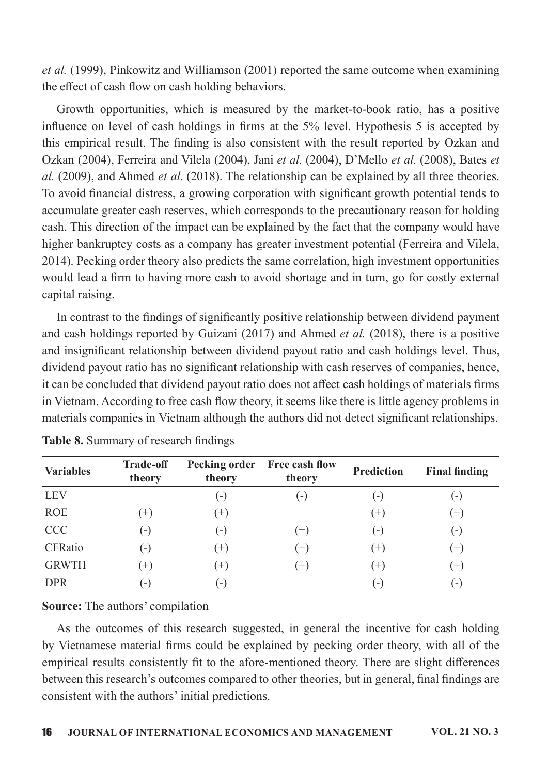et al. (1999), Pinkowitz and Williamson (2001) reported the same outcome when examining the effect of cash flow on cash holding behaviors.

Growth opportunities, which is measured by the market-to-book ratio, has a positive influence on level of cash holdings in firms at the  $5\%$  level. Hypothesis 5 is accepted by this empirical result. The finding is also consistent with the result reported by Ozkan and Ozkan (2004), Ferreira and Vilela (2004), Jani et al. (2004), D'Mello et al. (2008), Bates et al.  $(2009)$ , and Ahmed et al.  $(2018)$ . The relationship can be explained by all three theories. To avoid financial distress, a growing corporation with significant growth potential tends to accumulate greater cash reserves, which corresponds to the precautionary reason for holding cash. This direction of the impact can be explained by the fact that the company would have higher bankruptcy costs as a company has greater investment potential (Ferreira and Vilela, 2014). Pecking order theory also predicts the same correlation, high investment opportunities would lead a firm to having more cash to avoid shortage and in turn, go for costly external capital raising.

In contrast to the findings of significantly positive relationship between dividend payment and cash holdings reported by Guizani (2017) and Ahmed *et al.* (2018), there is a positive and insignificant relationship between dividend payout ratio and cash holdings level. Thus, dividend payout ratio has no significant relationship with cash reserves of companies, hence, it can be concluded that dividend payout ratio does not affect cash holdings of materials firms in Vietnam. According to free cash flow theory, it seems like there is little agency problems in materials companies in Vietnam although the authors did not detect significant relationships.

| <b>Variables</b> | <b>Trade-off</b><br>theory | <b>Pecking order</b><br>theory | Free cash flow<br>theory | <b>Prediction</b> | <b>Final finding</b> |
|------------------|----------------------------|--------------------------------|--------------------------|-------------------|----------------------|
| <b>LEV</b>       |                            | $(-)$                          | $(-)$                    | $\left( -\right)$ | ( – )                |
| <b>ROE</b>       | $(+)$                      | $(+)$                          |                          | $^{(+)}$          | $(+)$                |
| <b>CCC</b>       | $(-)$                      | $(-)$                          | $^{(+)}$                 | ( – )             | $(-)$                |
| CFRatio          | $(-)$                      | $(+)$                          | $^{(+)}$                 | $^{(+)}$          | $^{(+)}$             |
| <b>GRWTH</b>     | $^{(+)}$                   | $(+)$                          | $^{(+)}$                 | $(+)$             | $(+)$                |
| <b>DPR</b>       | $\left( -\right)$          | $-1$                           |                          | (-)               | $\left( -\right)$    |

Table 8. Summary of research findings

**Source:** The authors' compilation

As the outcomes of this research suggested, in general the incentive for cash holding by Vietnamese material firms could be explained by pecking order theory, with all of the empirical results consistently fit to the afore-mentioned theory. There are slight differences between this research's outcomes compared to other theories, but in general, final findings are consistent with the authors' initial predictions.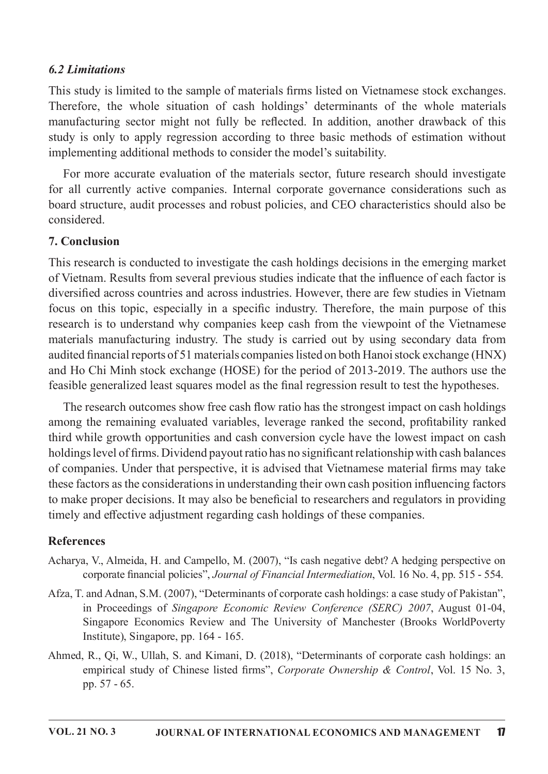#### 6.2Limitations

This study is limited to the sample of materials firms listed on Vietnamese stock exchanges. Therefore, the whole situation of cash holdings' determinants of the whole materials manufacturing sector might not fully be reflected. In addition, another drawback of this study is only to apply regression according to three basic methods of estimation without implementing additional methods to consider the model's suitability.

For more accurate evaluation of the materials sector, future research should investigate for all currently active companies. Internal corporate governance considerations such as board structure, audit processes and robust policies, and CEO characteristics should also be considered.

#### 7. Conclusion

This research is conducted to investigate the cash holdings decisions in the emerging market of Vietnam. Results from several previous studies indicate that the influence of each factor is diversified across countries and across industries. However, there are few studies in Vietnam focus on this topic, especially in a specific industry. Therefore, the main purpose of this research is to understand why companies keep cash from the viewpoint of the Vietnamese materials manufacturing industry. The study is carried out by using secondary data from audited financial reports of 51 materials companies listed on both Hanoi stock exchange (HNX) and Ho Chi Minh stock exchange (HOSE) for the period of 2013-2019. The authors use the feasible generalized least squares model as the final regression result to test the hypotheses.

The research outcomes show free cash flow ratio has the strongest impact on cash holdings among the remaining evaluated variables, leverage ranked the second, profitability ranked third while growth opportunities and cash conversion cycle have the lowest impact on cash holdings level of firms. Dividend payout ratio has no significant relationship with cash balances of companies. Under that perspective, it is advised that Vietnamese material firms may take these factors as the considerations in understanding their own cash position influencing factors to make proper decisions. It may also be beneficial to researchers and regulators in providing timely and effective adjustment regarding cash holdings of these companies.

#### References

- Acharya, V., Almeida, H. and Campello, M. (2007), "Is cash negative debt? A hedging perspective on corporate financial policies", Journal of Financial Intermediation, Vol. 16 No. 4, pp. 515 - 554.
- Afza, T. and Adnan, S.M. (2007), "Determinants of corporate cash holdings: a case study of Pakistan", in Proceedings of Singapore Economic Review Conference (SERC) 2007, August 01-04, Singapore Economics Review and The University of Manchester (Brooks WorldPoverty Institute), Singapore, pp. 164 - 165.
- Ahmed, R., Qi, W., Ullah, S. and Kimani, D. (2018), "Determinants of corporate cash holdings: an empirical study of Chinese listed firms", Corporate Ownership & Control, Vol. 15 No. 3, pp.57-65.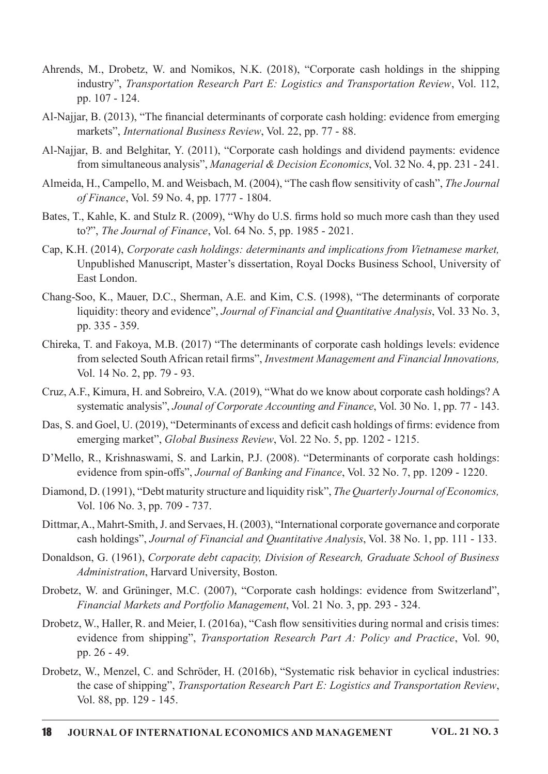- Ahrends, M., Drobetz, W. and Nomikos, N.K. (2018), "Corporate cash holdings in the shipping industry", Transportation Research Part E: Logistics and Transportation Review, Vol. 112, pp. 107 - 124.
- Al-Najjar, B. (2013), "The financial determinants of corporate cash holding: evidence from emerging markets", International Business Review, Vol. 22, pp. 77 - 88.
- Al-Najjar, B. and Belghitar, Y. (2011), "Corporate cash holdings and dividend payments: evidence from simultaneous analysis", *Managerial & Decision Economics*, Vol. 32 No. 4, pp. 231 - 241.
- Almeida, H., Campello, M. and Weisbach, M. (2004), "The cash flow sensitivity of cash", The Journal of Finance, Vol. 59 No. 4, pp. 1777 - 1804.
- Bates, T., Kahle, K. and Stulz R. (2009), "Why do U.S. firms hold so much more cash than they used to?", The Journal of Finance, Vol. 64 No. 5, pp. 1985 - 2021.
- Cap, K.H. (2014), Corporate cash holdings: determinants and implications from Vietnamese market. Unpublished Manuscript, Master's dissertation, Royal Docks Business School, University of East London.
- Chang-Soo, K., Mauer, D.C., Sherman, A.E. and Kim, C.S. (1998), "The determinants of corporate liquidity: theory and evidence", Journal of Financial and Quantitative Analysis, Vol. 33 No. 3, pp. 335 - 359.
- Chireka, T. and Fakoya, M.B. (2017) "The determinants of corporate cash holdings levels: evidence from selected South African retail firms", Investment Management and Financial Innovations, Vol.14No.2,pp.79-93.
- Cruz, A.F., Kimura, H. and Sobreiro, V.A. (2019), "What do we know about corporate cash holdings? A systematic analysis", Jounal of Corporate Accounting and Finance, Vol. 30 No. 1, pp. 77 - 143.
- Das, S. and Goel, U. (2019), "Determinants of excess and deficit cash holdings of firms: evidence from emerging market", Global Business Review, Vol. 22 No. 5, pp. 1202 - 1215.
- D'Mello, R., Krishnaswami, S. and Larkin, P.J. (2008). "Determinants of corporate cash holdings: evidence from spin-offs", Journal of Banking and Finance, Vol. 32 No. 7, pp. 1209 - 1220.
- Diamond, D. (1991), "Debt maturity structure and liquidity risk", The Quarterly Journal of Economics, Vol.106No.3,pp.709-737.
- Dittmar, A., Mahrt-Smith, J. and Servaes, H. (2003), "International corporate governance and corporate cash holdings", Journal of Financial and Quantitative Analysis, Vol. 38 No. 1, pp. 111 - 133.
- Donaldson, G. (1961), Corporate debt capacity, Division of Research, Graduate School of Business Administration, Harvard University, Boston.
- Drobetz, W. and Grüninger, M.C. (2007), "Corporate cash holdings: evidence from Switzerland". Financial Markets and Portfolio Management, Vol. 21 No. 3, pp. 293 - 324.
- Drobetz, W., Haller, R. and Meier, I. (2016a), "Cash flow sensitivities during normal and crisis times: evidence from shipping", Transportation Research Part A: Policy and Practice, Vol. 90, pp.26-49.
- Drobetz, W., Menzel, C. and Schröder, H. (2016b), "Systematic risk behavior in cyclical industries: the case of shipping", Transportation Research Part E: Logistics and Transportation Review, Vol.88,pp.129-145.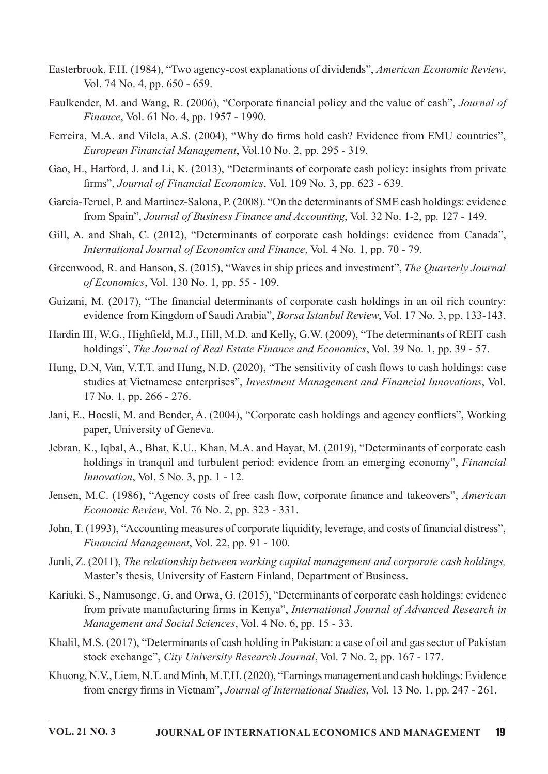- Easterbrook, F.H. (1984), "Two agency-cost explanations of dividends", American Economic Review, Vol.74No.4,pp.650-659.
- Faulkender, M. and Wang, R. (2006), "Corporate financial policy and the value of cash", Journal of *Finance*, Vol. 61 No. 4, pp. 1957 - 1990.
- Ferreira, M.A. and Vilela, A.S. (2004), "Why do firms hold cash? Evidence from EMU countries", European Financial Management, Vol.10 No. 2, pp. 295 - 319.
- Gao, H., Harford, J. and Li, K. (2013), "Determinants of corporate cash policy: insights from private firms", Journal of Financial Economics, Vol. 109 No. 3, pp. 623 - 639.
- Garcia-Teruel, P. and Martinez-Salona, P. (2008). "On the determinants of SME cash holdings: evidence from Spain", Journal of Business Finance and Accounting, Vol. 32 No. 1-2, pp. 127 - 149.
- Gill, A. and Shah, C. (2012), "Determinants of corporate cash holdings: evidence from Canada", International Journal of Economics and Finance, Vol. 4 No. 1, pp. 70 - 79.
- Greenwood, R. and Hanson, S. (2015), "Waves in ship prices and investment", The Quarterly Journal of Economics, Vol. 130 No. 1, pp. 55 - 109.
- Guizani, M. (2017), "The financial determinants of corporate cash holdings in an oil rich country: evidence from Kingdom of Saudi Arabia", Borsa Istanbul Review, Vol. 17 No. 3, pp. 133-143.
- Hardin III, W.G., Highfield, M.J., Hill, M.D. and Kelly, G.W. (2009), "The determinants of REIT cash holdings", The Journal of Real Estate Finance and Economics, Vol. 39 No. 1, pp. 39 - 57.
- Hung, D.N, Van, V.T.T. and Hung, N.D. (2020), "The sensitivity of cash flows to cash holdings: case studies at Vietnamese enterprises", Investment Management and Financial Innovations, Vol. 17No.1,pp.266-276.
- Jani, E., Hoesli, M. and Bender, A. (2004), "Corporate cash holdings and agency conflicts", Working paper, University of Geneva.
- Jebran, K., Iqbal, A., Bhat, K.U., Khan, M.A. and Hayat, M. (2019), "Determinants of corporate cash holdings in tranquil and turbulent period: evidence from an emerging economy", Financial  $Innovation$ , Vol. 5 No. 3, pp. 1 - 12.
- Jensen, M.C. (1986), "Agency costs of free cash flow, corporate finance and takeovers", American  $E$ conomic Review, Vol. 76 No. 2, pp. 323 - 331.
- John, T. (1993), "Accounting measures of corporate liquidity, leverage, and costs of financial distress". Financial Management, Vol. 22, pp. 91 - 100.
- Junli, Z. (2011), The relationship between working capital management and corporate cash holdings, Master's thesis, University of Eastern Finland, Department of Business.
- Kariuki, S., Namusonge, G. and Orwa, G. (2015), "Determinants of corporate cash holdings: evidence from private manufacturing firms in Kenya", International Journal of Advanced Research in Management and Social Sciences, Vol. 4 No. 6, pp. 15 - 33.
- Khalil, M.S. (2017), "Determinants of cash holding in Pakistan: a case of oil and gas sector of Pakistan stock exchange", City University Research Journal, Vol. 7 No. 2, pp. 167 - 177.
- Khuong, N.V., Liem, N.T. and Minh, M.T.H. (2020), "Earnings management and cash holdings: Evidence from energy firms in Vietnam", Journal of International Studies, Vol. 13 No. 1, pp. 247 - 261.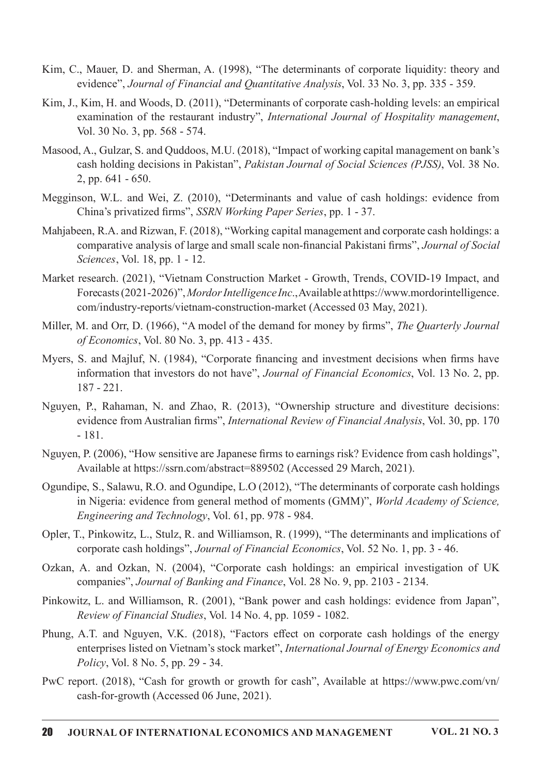- Kim, C., Mauer, D. and Sherman, A. (1998), "The determinants of corporate liquidity: theory and evidence", Journal of Financial and Quantitative Analysis, Vol. 33 No. 3, pp. 335 - 359.
- Kim, J., Kim, H. and Woods, D. (2011), "Determinants of corporate cash-holding levels: an empirical examination of the restaurant industry", International Journal of Hospitality management, Vol.30No.3,pp.568-574.
- Masood, A., Gulzar, S. and Quddoos, M.U. (2018), "Impact of working capital management on bank's cash holding decisions in Pakistan", Pakistan Journal of Social Sciences (PJSS), Vol. 38 No. 2,pp.641-650.
- Megginson, W.L. and Wei, Z. (2010), "Determinants and value of cash holdings: evidence from China's privatized firms", SSRN Working Paper Series, pp. 1 - 37.
- Mahjabeen, R.A. and Rizwan, F. (2018), "Working capital management and corporate cash holdings: a comparative analysis of large and small scale non-financial Pakistani firms", Journal of Social  $Sciences$ , Vol. 18, pp. 1 - 12.
- Market research. (2021), "Vietnam Construction Market Growth, Trends, COVID-19 Impact, and Forecasts (2021-2026)", Mordor Intelligence Inc., Available at https://www.mordorintelligence. com/industry-reports/vietnam-construction-market (Accessed 03 May, 2021).
- Miller, M. and Orr, D. (1966), "A model of the demand for money by firms", The Quarterly Journal of Economics, Vol. 80 No. 3, pp. 413 - 435.
- Myers, S. and Majluf, N. (1984), "Corporate financing and investment decisions when firms have information that investors do not have", Journal of Financial Economics, Vol. 13 No. 2, pp.  $187 - 221.$
- Nguyen, P., Rahaman, N. and Zhao, R. (2013), "Ownership structure and divestiture decisions: evidence from Australian firms", International Review of Financial Analysis, Vol. 30, pp. 170  $-181.$
- Nguyen, P. (2006), "How sensitive are Japanese firms to earnings risk? Evidence from cash holdings", Available at https://ssrn.com/abstract=889502 (Accessed 29 March, 2021).
- Ogundipe, S., Salawu, R.O. and Ogundipe, L.O (2012), "The determinants of corporate cash holdings in Nigeria: evidence from general method of moments (GMM)", World Academy of Science, Engineering and Technology, Vol. 61, pp. 978 - 984.
- Opler, T., Pinkowitz, L., Stulz, R. and Williamson, R. (1999), "The determinants and implications of corporate cash holdings", *Journal of Financial Economics*, Vol. 52 No. 1, pp. 3 - 46.
- Ozkan, A. and Ozkan, N. (2004), "Corporate cash holdings: an empirical investigation of UK companies", Journal of Banking and Finance, Vol. 28 No. 9, pp. 2103 - 2134.
- Pinkowitz, L. and Williamson, R. (2001), "Bank power and cash holdings: evidence from Japan", Review of Financial Studies, Vol. 14 No. 4, pp. 1059 - 1082.
- Phung, A.T. and Nguyen, V.K. (2018), "Factors effect on corporate cash holdings of the energy enterprises listed on Vietnam's stock market", International Journal of Energy Economics and Policy, Vol. 8 No. 5, pp. 29 - 34.
- PwC report. (2018), "Cash for growth or growth for cash", Available at https://www.pwc.com/vn/ cash-for-growth (Accessed 06 June, 2021).